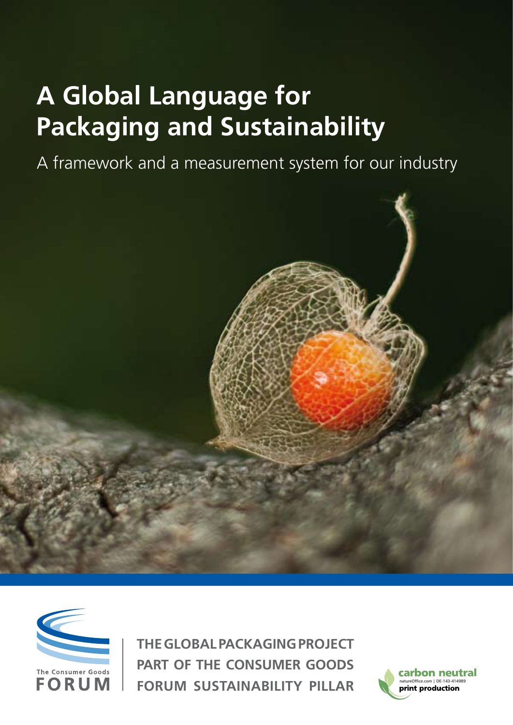# **A Global Language for Packaging and Sustainability**

A framework and a measurement system for our industry





**The Global Packaging Project Part of The Consumer Goods Forum Sustainability Pillar**

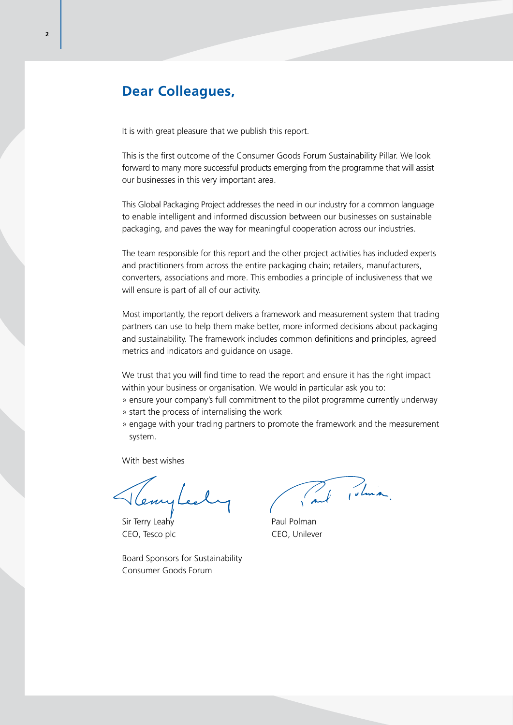# **Dear Colleagues,**

It is with great pleasure that we publish this report.

This is the first outcome of the Consumer Goods Forum Sustainability Pillar. We look forward to many more successful products emerging from the programme that will assist our businesses in this very important area.

This Global Packaging Project addresses the need in our industry for a common language to enable intelligent and informed discussion between our businesses on sustainable packaging, and paves the way for meaningful cooperation across our industries.

The team responsible for this report and the other project activities has included experts and practitioners from across the entire packaging chain; retailers, manufacturers, converters, associations and more. This embodies a principle of inclusiveness that we will ensure is part of all of our activity.

Most importantly, the report delivers a framework and measurement system that trading partners can use to help them make better, more informed decisions about packaging and sustainability. The framework includes common definitions and principles, agreed metrics and indicators and guidance on usage.

We trust that you will find time to read the report and ensure it has the right impact within your business or organisation. We would in particular ask you to:

» ensure your company's full commitment to the pilot programme currently underway » start the process of internalising the work

» engage with your trading partners to promote the framework and the measurement system.

With best wishes

Veny

Sir Terry Leahy **Paul Polman** CEO, Tesco plc CEO, Unilever

Board Sponsors for Sustainability Consumer Goods Forum

Paul Polinia.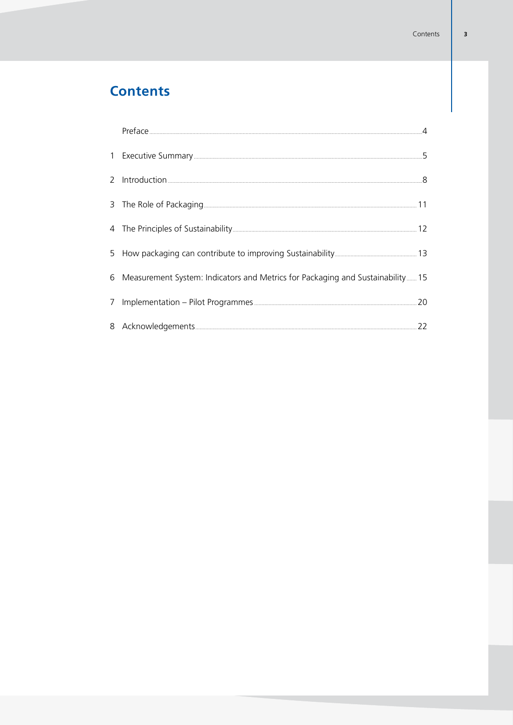# **Contents**

| 6 Measurement System: Indicators and Metrics for Packaging and Sustainability 15 |  |
|----------------------------------------------------------------------------------|--|
|                                                                                  |  |
|                                                                                  |  |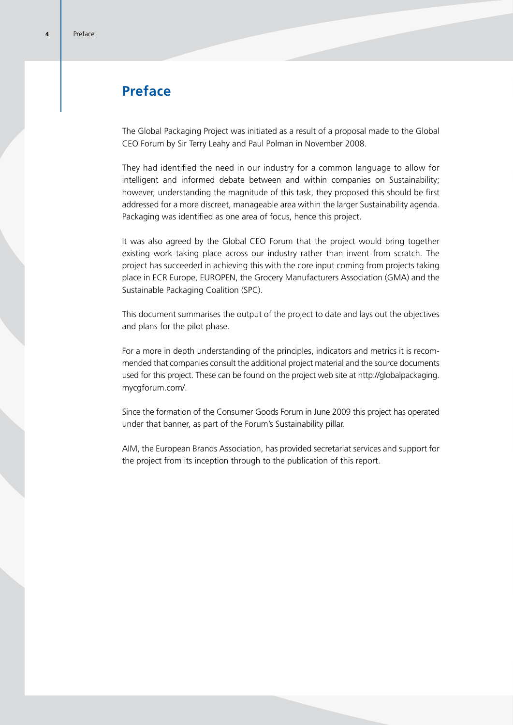# **Preface**

The Global Packaging Project was initiated as a result of a proposal made to the Global CEO Forum by Sir Terry Leahy and Paul Polman in November 2008.

They had identified the need in our industry for a common language to allow for intelligent and informed debate between and within companies on Sustainability; however, understanding the magnitude of this task, they proposed this should be first addressed for a more discreet, manageable area within the larger Sustainability agenda. Packaging was identified as one area of focus, hence this project.

It was also agreed by the Global CEO Forum that the project would bring together existing work taking place across our industry rather than invent from scratch. The project has succeeded in achieving this with the core input coming from projects taking place in ECR Europe, EUROPEN, the Grocery Manufacturers Association (GMA) and the Sustainable Packaging Coalition (SPC).

This document summarises the output of the project to date and lays out the objectives and plans for the pilot phase.

For a more in depth understanding of the principles, indicators and metrics it is recommended that companies consult the additional project material and the source documents used for this project. These can be found on the project web site at http://globalpackaging. mycgforum.com/.

Since the formation of the Consumer Goods Forum in June 2009 this project has operated under that banner, as part of the Forum's Sustainability pillar.

AIM, the European Brands Association, has provided secretariat services and support for the project from its inception through to the publication of this report.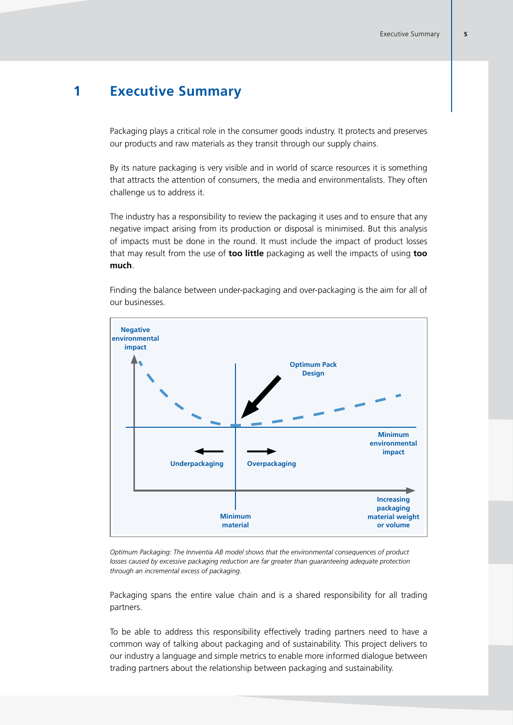# **1 Executive Summary**

Packaging plays a critical role in the consumer goods industry. It protects and preserves our products and raw materials as they transit through our supply chains.

By its nature packaging is very visible and in world of scarce resources it is something that attracts the attention of consumers, the media and environmentalists. They often challenge us to address it.

The industry has a responsibility to review the packaging it uses and to ensure that any negative impact arising from its production or disposal is minimised. But this analysis of impacts must be done in the round. It must include the impact of product losses that may result from the use of **too little** packaging as well the impacts of using **too much**.

**Negative environmental impact Optimum Pack Design Underpackaging Overpackaging Minimum material Increasing packaging material weight or volume Minimum environmental impact**

Finding the balance between under-packaging and over-packaging is the aim for all of our businesses.

*Optimum Packaging: The Innventia AB model shows that the environmental consequences of product losses caused by excessive packaging reduction are far greater than guaranteeing adequate protection through an incremental excess of packaging.*

Packaging spans the entire value chain and is a shared responsibility for all trading partners.

To be able to address this responsibility effectively trading partners need to have a common way of talking about packaging and of sustainability. This project delivers to our industry a language and simple metrics to enable more informed dialogue between trading partners about the relationship between packaging and sustainability.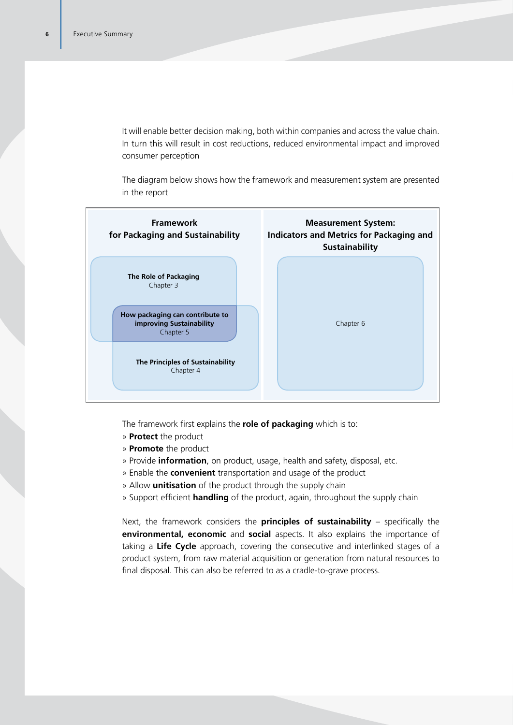It will enable better decision making, both within companies and across the value chain. In turn this will result in cost reductions, reduced environmental impact and improved consumer perception

The diagram below shows how the framework and measurement system are presented in the report



The framework first explains the **role of packaging** which is to:

- » **Protect** the product
- » **Promote** the product
- » Provide **information**, on product, usage, health and safety, disposal, etc.
- » Enable the **convenient** transportation and usage of the product
- » Allow **unitisation** of the product through the supply chain
- » Support efficient **handling** of the product, again, throughout the supply chain

Next, the framework considers the **principles of sustainability** – specifically the **environmental, economic** and **social** aspects. It also explains the importance of taking a **Life Cycle** approach, covering the consecutive and interlinked stages of a product system, from raw material acquisition or generation from natural resources to final disposal. This can also be referred to as a cradle-to-grave process.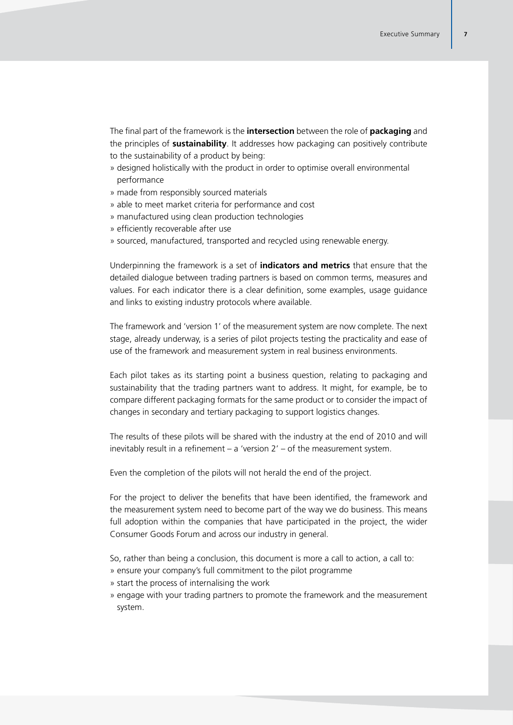The final part of the framework is the **intersection** between the role of **packaging** and the principles of **sustainability**. It addresses how packaging can positively contribute to the sustainability of a product by being:

- » designed holistically with the product in order to optimise overall environmental performance
- » made from responsibly sourced materials
- » able to meet market criteria for performance and cost
- » manufactured using clean production technologies
- » efficiently recoverable after use
- » sourced, manufactured, transported and recycled using renewable energy.

Underpinning the framework is a set of **indicators and metrics** that ensure that the detailed dialogue between trading partners is based on common terms, measures and values. For each indicator there is a clear definition, some examples, usage guidance and links to existing industry protocols where available.

The framework and 'version 1' of the measurement system are now complete. The next stage, already underway, is a series of pilot projects testing the practicality and ease of use of the framework and measurement system in real business environments.

Each pilot takes as its starting point a business question, relating to packaging and sustainability that the trading partners want to address. It might, for example, be to compare different packaging formats for the same product or to consider the impact of changes in secondary and tertiary packaging to support logistics changes.

The results of these pilots will be shared with the industry at the end of 2010 and will inevitably result in a refinement – a 'version 2' – of the measurement system.

Even the completion of the pilots will not herald the end of the project.

For the project to deliver the benefits that have been identified, the framework and the measurement system need to become part of the way we do business. This means full adoption within the companies that have participated in the project, the wider Consumer Goods Forum and across our industry in general.

So, rather than being a conclusion, this document is more a call to action, a call to:

- » ensure your company's full commitment to the pilot programme
- » start the process of internalising the work
- » engage with your trading partners to promote the framework and the measurement system.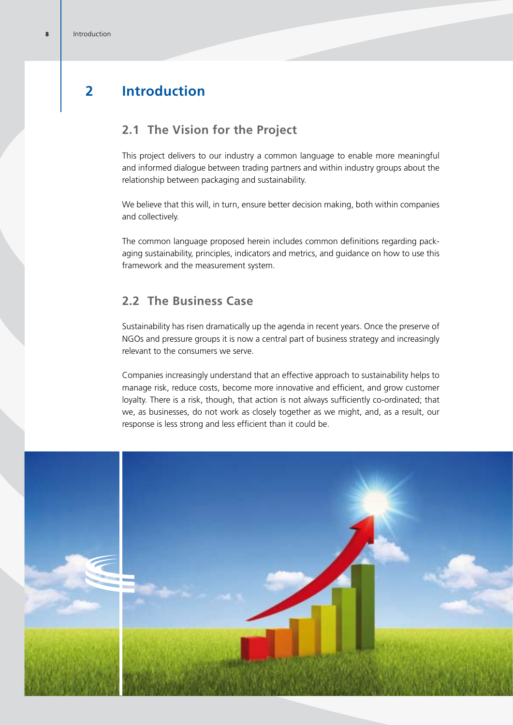# **2 Introduction**

# **2.1 The Vision for the Project**

This project delivers to our industry a common language to enable more meaningful and informed dialogue between trading partners and within industry groups about the relationship between packaging and sustainability.

We believe that this will, in turn, ensure better decision making, both within companies and collectively.

The common language proposed herein includes common definitions regarding packaging sustainability, principles, indicators and metrics, and guidance on how to use this framework and the measurement system.

### **2.2 The Business Case**

Sustainability has risen dramatically up the agenda in recent years. Once the preserve of NGOs and pressure groups it is now a central part of business strategy and increasingly relevant to the consumers we serve.

Companies increasingly understand that an effective approach to sustainability helps to manage risk, reduce costs, become more innovative and efficient, and grow customer loyalty. There is a risk, though, that action is not always sufficiently co-ordinated; that we, as businesses, do not work as closely together as we might, and, as a result, our response is less strong and less efficient than it could be.

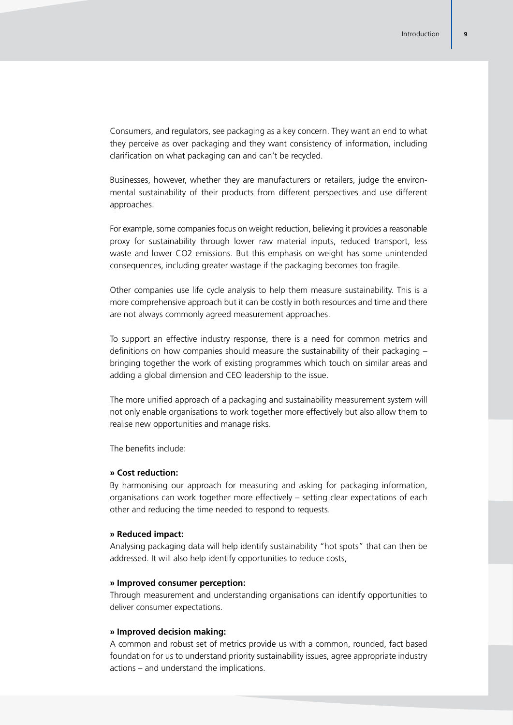Consumers, and regulators, see packaging as a key concern. They want an end to what they perceive as over packaging and they want consistency of information, including clarification on what packaging can and can't be recycled.

Businesses, however, whether they are manufacturers or retailers, judge the environmental sustainability of their products from different perspectives and use different approaches.

For example, some companies focus on weight reduction, believing it provides a reasonable proxy for sustainability through lower raw material inputs, reduced transport, less waste and lower CO2 emissions. But this emphasis on weight has some unintended consequences, including greater wastage if the packaging becomes too fragile.

Other companies use life cycle analysis to help them measure sustainability. This is a more comprehensive approach but it can be costly in both resources and time and there are not always commonly agreed measurement approaches.

To support an effective industry response, there is a need for common metrics and definitions on how companies should measure the sustainability of their packaging – bringing together the work of existing programmes which touch on similar areas and adding a global dimension and CEO leadership to the issue.

The more unified approach of a packaging and sustainability measurement system will not only enable organisations to work together more effectively but also allow them to realise new opportunities and manage risks.

The benefits include:

#### **» Cost reduction:**

By harmonising our approach for measuring and asking for packaging information, organisations can work together more effectively – setting clear expectations of each other and reducing the time needed to respond to requests.

#### **» Reduced impact:**

Analysing packaging data will help identify sustainability "hot spots" that can then be addressed. It will also help identify opportunities to reduce costs,

#### **» Improved consumer perception:**

Through measurement and understanding organisations can identify opportunities to deliver consumer expectations.

#### **» Improved decision making:**

A common and robust set of metrics provide us with a common, rounded, fact based foundation for us to understand priority sustainability issues, agree appropriate industry actions – and understand the implications.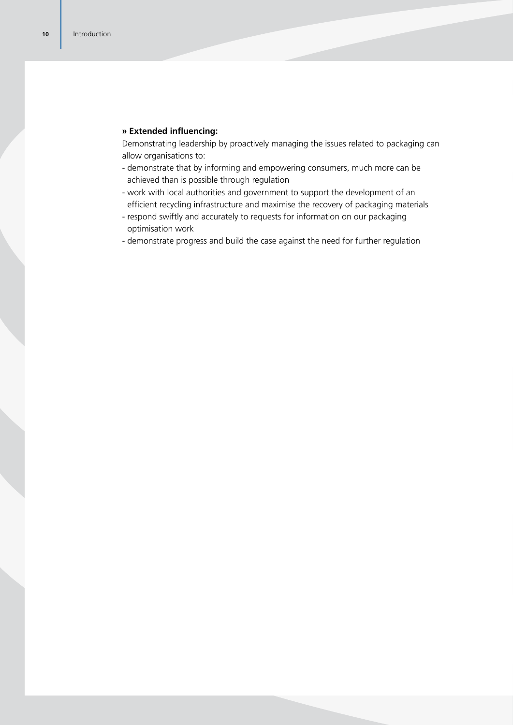#### **» Extended influencing:**

Demonstrating leadership by proactively managing the issues related to packaging can allow organisations to:

- demonstrate that by informing and empowering consumers, much more can be achieved than is possible through regulation
- work with local authorities and government to support the development of an efficient recycling infrastructure and maximise the recovery of packaging materials
- respond swiftly and accurately to requests for information on our packaging optimisation work
- demonstrate progress and build the case against the need for further regulation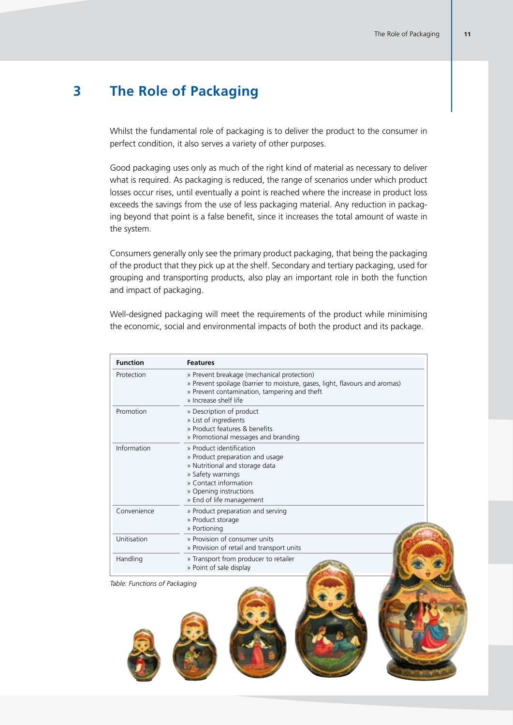# **3 The Role of Packaging**

Whilst the fundamental role of packaging is to deliver the product to the consumer in perfect condition, it also serves a variety of other purposes.

Good packaging uses only as much of the right kind of material as necessary to deliver what is required. As packaging is reduced, the range of scenarios under which product losses occur rises, until eventually a point is reached where the increase in product loss exceeds the savings from the use of less packaging material. Any reduction in packaging beyond that point is a false benefit, since it increases the total amount of waste in the system.

Consumers generally only see the primary product packaging, that being the packaging of the product that they pick up at the shelf. Secondary and tertiary packaging, used for grouping and transporting products, also play an important role in both the function and impact of packaging.

Well-designed packaging will meet the requirements of the product while minimising the economic, social and environmental impacts of both the product and its package.

| <b>Function</b> | <b>Features</b>                                                                                                                                                                                    |
|-----------------|----------------------------------------------------------------------------------------------------------------------------------------------------------------------------------------------------|
| Protection      | » Prevent breakage (mechanical protection)<br>» Prevent spoilage (barrier to moisture, gases, light, flavours and aromas)<br>» Prevent contamination, tampering and theft<br>» Increase shelf life |
| Promotion       | » Description of product<br>» List of ingredients<br>» Product features & benefits<br>» Promotional messages and branding                                                                          |
| Information     | » Product identification<br>» Product preparation and usage<br>» Nutritional and storage data<br>» Safety warnings<br>» Contact information<br>» Opening instructions<br>» End of life management  |
| Convenience     | » Product preparation and serving<br>» Product storage<br>» Portioning                                                                                                                             |
| Unitisation     | » Provision of consumer units<br>» Provision of retail and transport units                                                                                                                         |
| Handling        | » Transport from producer to retailer<br>» Point of sale display                                                                                                                                   |

*Table: Functions of Packaging*



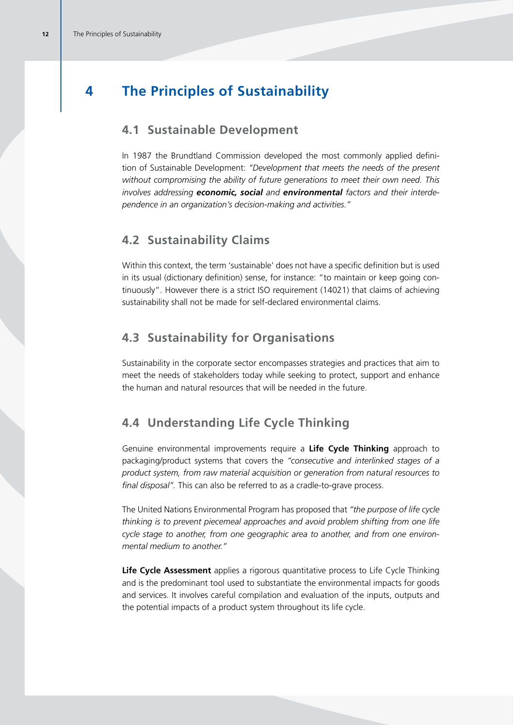# **4 The Principles of Sustainability**

### **4.1 Sustainable Development**

In 1987 the Brundtland Commission developed the most commonly applied definition of Sustainable Development: *"Development that meets the needs of the present without compromising the ability of future generations to meet their own need. This involves addressing economic, social and environmental factors and their interdependence in an organization's decision-making and activities."*

### **4.2 Sustainability Claims**

Within this context, the term 'sustainable' does not have a specific definition but is used in its usual (dictionary definition) sense, for instance: "to maintain or keep going continuously". However there is a strict ISO requirement (14021) that claims of achieving sustainability shall not be made for self-declared environmental claims.

### **4.3 Sustainability for Organisations**

Sustainability in the corporate sector encompasses strategies and practices that aim to meet the needs of stakeholders today while seeking to protect, support and enhance the human and natural resources that will be needed in the future.

### **4.4 Understanding Life Cycle Thinking**

Genuine environmental improvements require a **Life Cycle Thinking** approach to packaging/product systems that covers the *"consecutive and interlinked stages of a product system, from raw material acquisition or generation from natural resources to final disposal".* This can also be referred to as a cradle-to-grave process.

The United Nations Environmental Program has proposed that *"the purpose of life cycle thinking is to prevent piecemeal approaches and avoid problem shifting from one life cycle stage to another, from one geographic area to another, and from one environmental medium to another."*

**Life Cycle Assessment** applies a rigorous quantitative process to Life Cycle Thinking and is the predominant tool used to substantiate the environmental impacts for goods and services. It involves careful compilation and evaluation of the inputs, outputs and the potential impacts of a product system throughout its life cycle.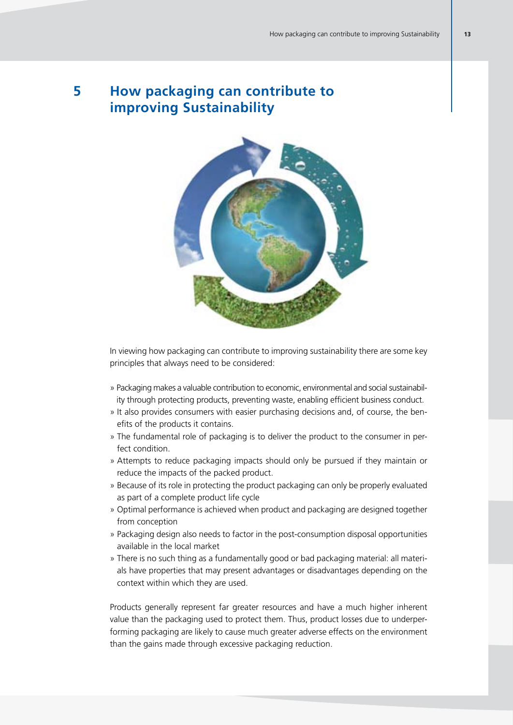# **5 How packaging can contribute to improving Sustainability**



In viewing how packaging can contribute to improving sustainability there are some key principles that always need to be considered:

- » Packaging makes a valuable contribution to economic, environmental and social sustainability through protecting products, preventing waste, enabling efficient business conduct.
- » It also provides consumers with easier purchasing decisions and, of course, the benefits of the products it contains.
- » The fundamental role of packaging is to deliver the product to the consumer in perfect condition.
- » Attempts to reduce packaging impacts should only be pursued if they maintain or reduce the impacts of the packed product.
- » Because of its role in protecting the product packaging can only be properly evaluated as part of a complete product life cycle
- » Optimal performance is achieved when product and packaging are designed together from conception
- » Packaging design also needs to factor in the post-consumption disposal opportunities available in the local market
- » There is no such thing as a fundamentally good or bad packaging material: all materials have properties that may present advantages or disadvantages depending on the context within which they are used.

Products generally represent far greater resources and have a much higher inherent value than the packaging used to protect them. Thus, product losses due to underperforming packaging are likely to cause much greater adverse effects on the environment than the gains made through excessive packaging reduction.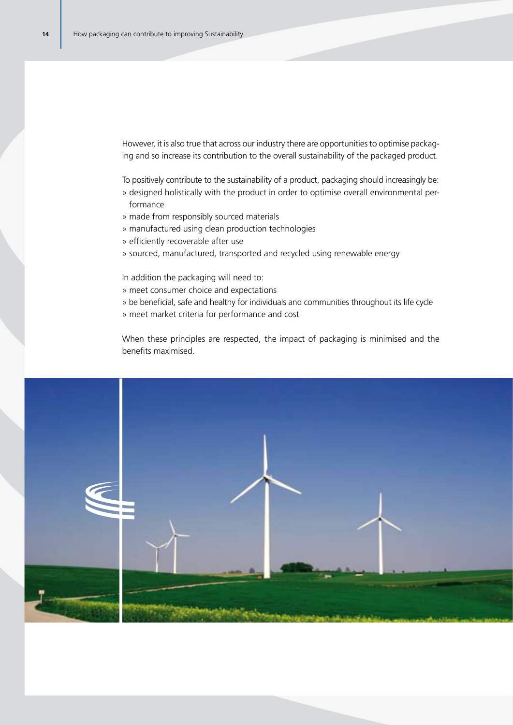However, it is also true that across our industry there are opportunities to optimise packaging and so increase its contribution to the overall sustainability of the packaged product.

To positively contribute to the sustainability of a product, packaging should increasingly be:

- » designed holistically with the product in order to optimise overall environmental performance
- » made from responsibly sourced materials
- » manufactured using clean production technologies
- » efficiently recoverable after use
- » sourced, manufactured, transported and recycled using renewable energy

In addition the packaging will need to:

- » meet consumer choice and expectations
- » be beneficial, safe and healthy for individuals and communities throughout its life cycle
- » meet market criteria for performance and cost

When these principles are respected, the impact of packaging is minimised and the benefits maximised.

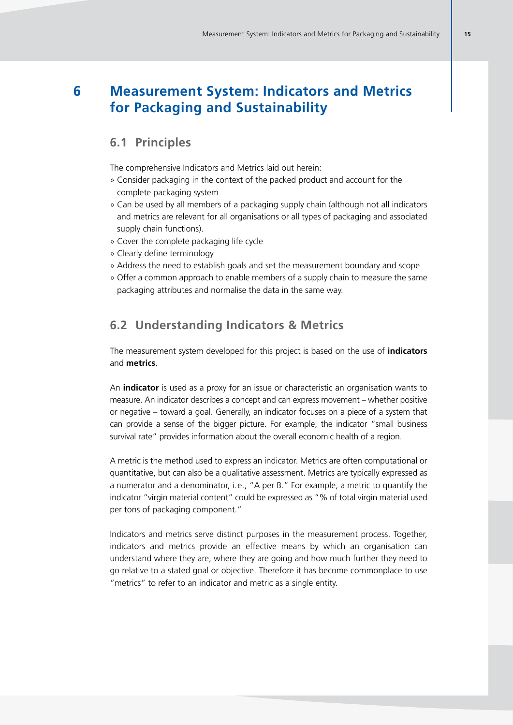# **6 Measurement System: Indicators and Metrics for Packaging and Sustainability**

### **6.1 Principles**

The comprehensive Indicators and Metrics laid out herein:

- » Consider packaging in the context of the packed product and account for the complete packaging system
- » Can be used by all members of a packaging supply chain (although not all indicators and metrics are relevant for all organisations or all types of packaging and associated supply chain functions).
- » Cover the complete packaging life cycle
- » Clearly define terminology
- » Address the need to establish goals and set the measurement boundary and scope
- » Offer a common approach to enable members of a supply chain to measure the same packaging attributes and normalise the data in the same way.

### **6.2 Understanding Indicators & Metrics**

The measurement system developed for this project is based on the use of **indicators** and **metrics**.

An **indicator** is used as a proxy for an issue or characteristic an organisation wants to measure. An indicator describes a concept and can express movement – whether positive or negative – toward a goal. Generally, an indicator focuses on a piece of a system that can provide a sense of the bigger picture. For example, the indicator "small business survival rate" provides information about the overall economic health of a region.

A metric is the method used to express an indicator. Metrics are often computational or quantitative, but can also be a qualitative assessment. Metrics are typically expressed as a numerator and a denominator, i. e., "A per B." For example, a metric to quantify the indicator "virgin material content" could be expressed as "% of total virgin material used per tons of packaging component."

Indicators and metrics serve distinct purposes in the measurement process. Together, indicators and metrics provide an effective means by which an organisation can understand where they are, where they are going and how much further they need to go relative to a stated goal or objective. Therefore it has become commonplace to use "metrics" to refer to an indicator and metric as a single entity.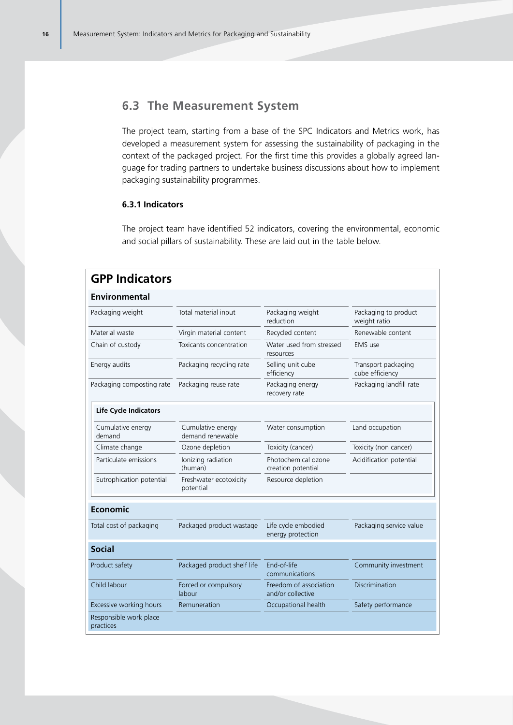### **6.3 The Measurement System**

The project team, starting from a base of the SPC Indicators and Metrics work, has developed a measurement system for assessing the sustainability of packaging in the context of the packaged project. For the first time this provides a globally agreed language for trading partners to undertake business discussions about how to implement packaging sustainability programmes.

### **6.3.1 Indicators**

The project team have identified 52 indicators, covering the environmental, economic and social pillars of sustainability. These are laid out in the table below.

| <b>GPP Indicators</b>               |                                       |                                             |                                        |  |  |  |  |  |
|-------------------------------------|---------------------------------------|---------------------------------------------|----------------------------------------|--|--|--|--|--|
| <b>Environmental</b>                |                                       |                                             |                                        |  |  |  |  |  |
| Packaging weight                    | Total material input                  | Packaging weight<br>reduction               | Packaging to product<br>weight ratio   |  |  |  |  |  |
| Material waste                      | Virgin material content               | Recycled content                            | Renewable content                      |  |  |  |  |  |
| Chain of custody                    | Toxicants concentration               | Water used from stressed<br>resources       | EMS use                                |  |  |  |  |  |
| Energy audits                       | Packaging recycling rate              | Selling unit cube<br>efficiency             | Transport packaging<br>cube efficiency |  |  |  |  |  |
| Packaging composting rate           | Packaging reuse rate                  | Packaging energy<br>recovery rate           | Packaging landfill rate                |  |  |  |  |  |
| <b>Life Cycle Indicators</b>        |                                       |                                             |                                        |  |  |  |  |  |
| Cumulative energy<br>demand         | Cumulative energy<br>demand renewable | Water consumption                           | Land occupation                        |  |  |  |  |  |
| Climate change                      | Ozone depletion                       | Toxicity (cancer)                           | Toxicity (non cancer)                  |  |  |  |  |  |
| Particulate emissions               | Ionizing radiation<br>(human)         | Photochemical ozone<br>creation potential   | Acidification potential                |  |  |  |  |  |
| Eutrophication potential            | Freshwater ecotoxicity<br>potential   | Resource depletion                          |                                        |  |  |  |  |  |
| <b>Economic</b>                     |                                       |                                             |                                        |  |  |  |  |  |
| Total cost of packaging             | Packaged product wastage              | Life cycle embodied<br>energy protection    | Packaging service value                |  |  |  |  |  |
| <b>Social</b>                       |                                       |                                             |                                        |  |  |  |  |  |
| Product safety                      | Packaged product shelf life           | End-of-life<br>communications               | Community investment                   |  |  |  |  |  |
| Child labour                        | Forced or compulsory<br>labour        | Freedom of association<br>and/or collective | <b>Discrimination</b>                  |  |  |  |  |  |
| Excessive working hours             | Remuneration                          | Occupational health                         | Safety performance                     |  |  |  |  |  |
| Responsible work place<br>practices |                                       |                                             |                                        |  |  |  |  |  |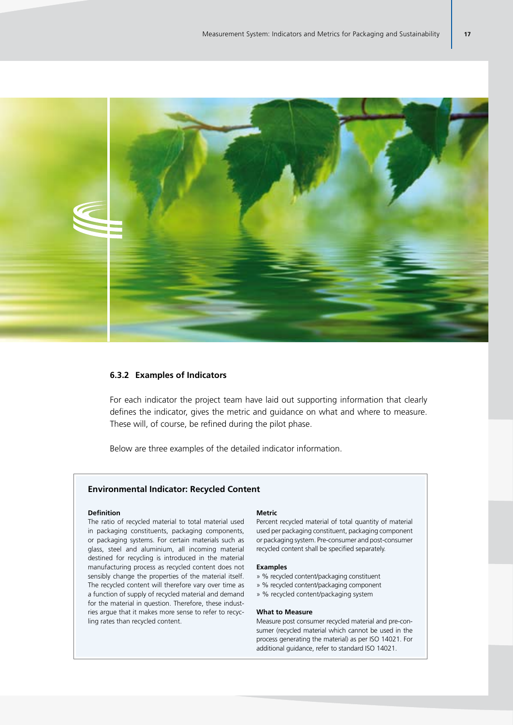

#### **6.3.2 Examples of Indicators**

For each indicator the project team have laid out supporting information that clearly defines the indicator, gives the metric and guidance on what and where to measure. These will, of course, be refined during the pilot phase.

Below are three examples of the detailed indicator information.

#### **Environmental Indicator: Recycled Content**

#### **Definition**

The ratio of recycled material to total material used in packaging constituents, packaging components, or packaging systems. For certain materials such as glass, steel and aluminium, all incoming material destined for recycling is introduced in the material manufacturing process as recycled content does not sensibly change the properties of the material itself. The recycled content will therefore vary over time as a function of supply of recycled material and demand for the material in question. Therefore, these industries argue that it makes more sense to refer to recycling rates than recycled content.

#### **Metric**

Percent recycled material of total quantity of material used per packaging constituent, packaging component or packaging system. Pre-consumer and post-consumer recycled content shall be specified separately.

#### **Examples**

- » % recycled content/packaging constituent
- » % recycled content/packaging component
- » % recycled content/packaging system

#### **What to Measure**

Measure post consumer recycled material and pre-consumer (recycled material which cannot be used in the process generating the material) as per ISO 14021. For additional guidance, refer to standard ISO 14021.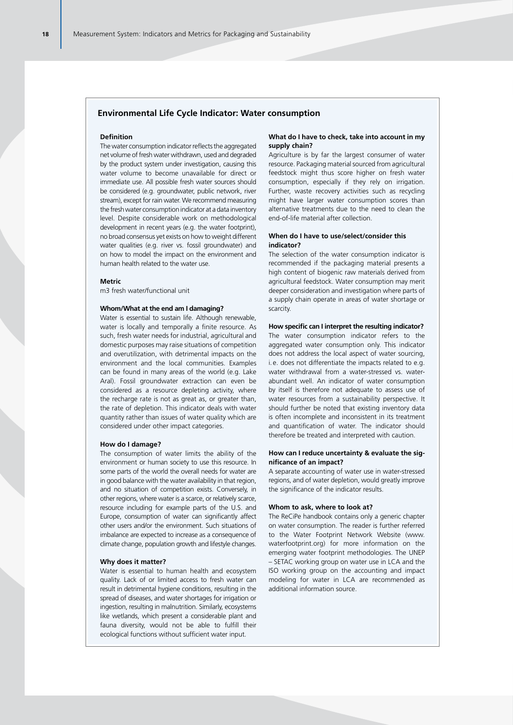#### **Environmental Life Cycle Indicator: Water consumption**

#### **Definition**

The water consumption indicator reflects the aggregated net volume of fresh water withdrawn, used and degraded by the product system under investigation, causing this water volume to become unavailable for direct or immediate use. All possible fresh water sources should be considered (e.g. groundwater, public network, river stream), except for rain water. We recommend measuring the fresh water consumption indicator at a data inventory level. Despite considerable work on methodological development in recent years (e.g. the water footprint), no broad consensus yet exists on how to weight different water qualities (e.g. river vs. fossil groundwater) and on how to model the impact on the environment and human health related to the water use.

#### **Metric**

m3 fresh water/functional unit

#### **Whom/What at the end am I damaging?**

Water is essential to sustain life. Although renewable, water is locally and temporally a finite resource. As such, fresh water needs for industrial, agricultural and domestic purposes may raise situations of competition and overutilization, with detrimental impacts on the environment and the local communities. Examples can be found in many areas of the world (e.g. Lake Aral). Fossil groundwater extraction can even be considered as a resource depleting activity, where the recharge rate is not as great as, or greater than, the rate of depletion. This indicator deals with water quantity rather than issues of water quality which are considered under other impact categories.

#### **How do I damage?**

The consumption of water limits the ability of the environment or human society to use this resource. In some parts of the world the overall needs for water are in good balance with the water availability in that region, and no situation of competition exists. Conversely, in other regions, where water is a scarce, or relatively scarce, resource including for example parts of the U.S. and Europe, consumption of water can significantly affect other users and/or the environment. Such situations of imbalance are expected to increase as a consequence of climate change, population growth and lifestyle changes.

#### **Why does it matter?**

Water is essential to human health and ecosystem quality. Lack of or limited access to fresh water can result in detrimental hygiene conditions, resulting in the spread of diseases, and water shortages for irrigation or ingestion, resulting in malnutrition. Similarly, ecosystems like wetlands, which present a considerable plant and fauna diversity, would not be able to fulfill their ecological functions without sufficient water input.

#### **What do I have to check, take into account in my supply chain?**

Agriculture is by far the largest consumer of water resource. Packaging material sourced from agricultural feedstock might thus score higher on fresh water consumption, especially if they rely on irrigation. Further, waste recovery activities such as recycling might have larger water consumption scores than alternative treatments due to the need to clean the end-of-life material after collection.

#### **When do I have to use/select/consider this indicator?**

The selection of the water consumption indicator is recommended if the packaging material presents a high content of biogenic raw materials derived from agricultural feedstock. Water consumption may merit deeper consideration and investigation where parts of a supply chain operate in areas of water shortage or scarcity.

#### **How specific can I interpret the resulting indicator?**

The water consumption indicator refers to the aggregated water consumption only. This indicator does not address the local aspect of water sourcing, i.e. does not differentiate the impacts related to e.g. water withdrawal from a water-stressed vs. waterabundant well. An indicator of water consumption by itself is therefore not adequate to assess use of water resources from a sustainability perspective. It should further be noted that existing inventory data is often incomplete and inconsistent in its treatment and quantification of water. The indicator should therefore be treated and interpreted with caution.

#### **How can I reduce uncertainty & evaluate the significance of an impact?**

A separate accounting of water use in water-stressed regions, and of water depletion, would greatly improve the significance of the indicator results.

#### **Whom to ask, where to look at?**

The ReCiPe handbook contains only a generic chapter on water consumption. The reader is further referred to the Water Footprint Network Website (www. waterfootprint.org) for more information on the emerging water footprint methodologies. The UNEP – SETAC working group on water use in LCA and the ISO working group on the accounting and impact modeling for water in LCA are recommended as additional information source.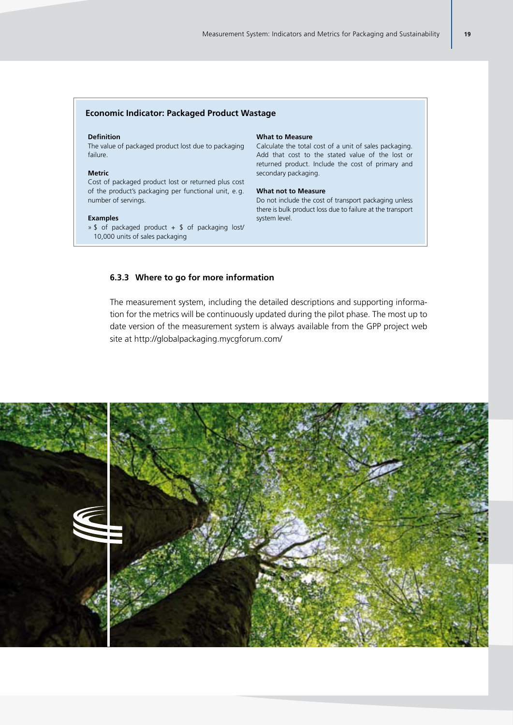#### **Economic Indicator: Packaged Product Wastage**

#### **Definition**

The value of packaged product lost due to packaging failure.

#### **Metric**

Cost of packaged product lost or returned plus cost of the product's packaging per functional unit, e.g. number of servings.

#### **Examples**

 $\rightarrow$  \$ of packaged product + \$ of packaging lost/ 10,000 units of sales packaging

#### **What to Measure**

Calculate the total cost of a unit of sales packaging. Add that cost to the stated value of the lost or returned product. Include the cost of primary and secondary packaging.

#### **What not to Measure**

Do not include the cost of transport packaging unless there is bulk product loss due to failure at the transport system level.

#### **6.3.3 Where to go for more information**

The measurement system, including the detailed descriptions and supporting information for the metrics will be continuously updated during the pilot phase. The most up to date version of the measurement system is always available from the GPP project web site at http://globalpackaging.mycgforum.com/

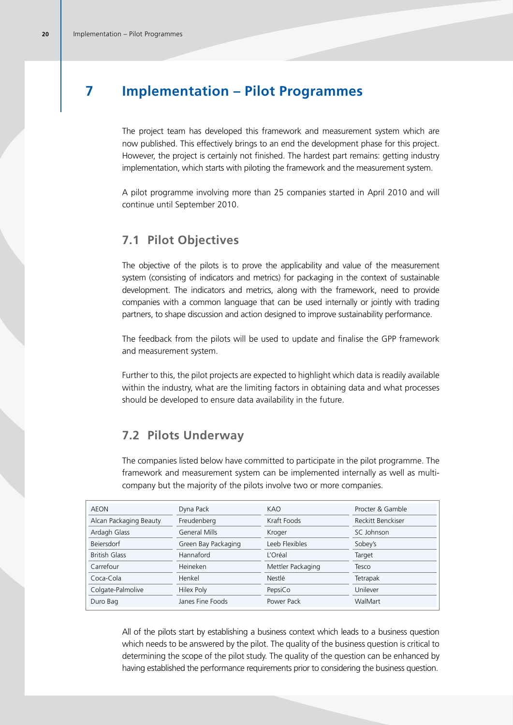# **7 Implementation – Pilot Programmes**

The project team has developed this framework and measurement system which are now published. This effectively brings to an end the development phase for this project. However, the project is certainly not finished. The hardest part remains: getting industry implementation, which starts with piloting the framework and the measurement system.

A pilot programme involving more than 25 companies started in April 2010 and will continue until September 2010.

### **7.1 Pilot Objectives**

The objective of the pilots is to prove the applicability and value of the measurement system (consisting of indicators and metrics) for packaging in the context of sustainable development. The indicators and metrics, along with the framework, need to provide companies with a common language that can be used internally or jointly with trading partners, to shape discussion and action designed to improve sustainability performance.

The feedback from the pilots will be used to update and finalise the GPP framework and measurement system.

Further to this, the pilot projects are expected to highlight which data is readily available within the industry, what are the limiting factors in obtaining data and what processes should be developed to ensure data availability in the future.

### **7.2 Pilots Underway**

The companies listed below have committed to participate in the pilot programme. The framework and measurement system can be implemented internally as well as multicompany but the majority of the pilots involve two or more companies.

| AEON                   | Dyna Pack            | KAO               | Procter & Gamble  |
|------------------------|----------------------|-------------------|-------------------|
| Alcan Packaging Beauty | Freudenberg          | Kraft Foods       | Reckitt Benckiser |
| Ardagh Glass           | <b>General Mills</b> | Kroger            | SC Johnson        |
| <b>Beiersdorf</b>      | Green Bay Packaging  | Leeb Flexibles    | Sobey's           |
| <b>British Glass</b>   | Hannaford            | L'Oréal           | Target            |
| Carrefour              | Heineken             | Mettler Packaging | Tesco             |
| Coca-Cola              | Henkel               | Nestlé            | Tetrapak          |
| Colgate-Palmolive      | Hilex Poly           | PepsiCo           | Unilever          |
| Duro Bag               | Janes Fine Foods     | Power Pack        | WalMart           |

All of the pilots start by establishing a business context which leads to a business question which needs to be answered by the pilot. The quality of the business question is critical to determining the scope of the pilot study. The quality of the question can be enhanced by having established the performance requirements prior to considering the business question.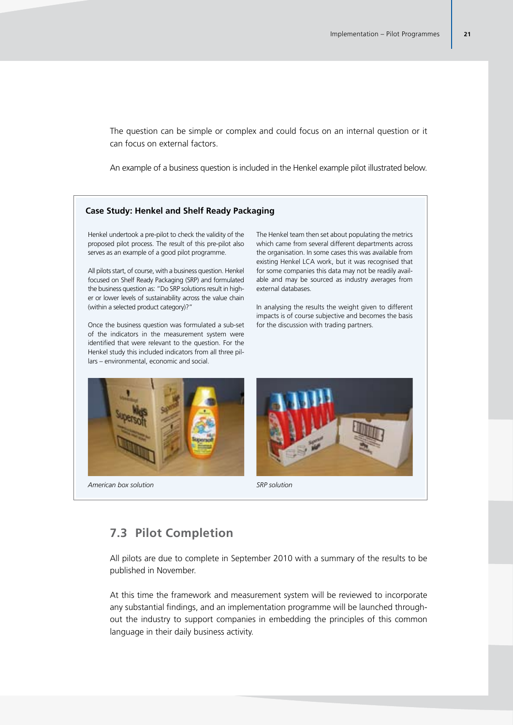The question can be simple or complex and could focus on an internal question or it can focus on external factors.

An example of a business question is included in the Henkel example pilot illustrated below.

#### **Case Study: Henkel and Shelf Ready Packaging**

Henkel undertook a pre-pilot to check the validity of the proposed pilot process. The result of this pre-pilot also serves as an example of a good pilot programme.

All pilots start, of course, with a business question. Henkel focused on Shelf Ready Packaging (SRP) and formulated the business question as: "Do SRP solutions result in higher or lower levels of sustainability across the value chain (within a selected product category)?"

Once the business question was formulated a sub-set of the indicators in the measurement system were identified that were relevant to the question. For the Henkel study this included indicators from all three pillars – environmental, economic and social.

The Henkel team then set about populating the metrics which came from several different departments across the organisation. In some cases this was available from existing Henkel LCA work, but it was recognised that for some companies this data may not be readily available and may be sourced as industry averages from external databases.

In analysing the results the weight given to different impacts is of course subjective and becomes the basis for the discussion with trading partners.





## **7.3 Pilot Completion**

All pilots are due to complete in September 2010 with a summary of the results to be published in November.

At this time the framework and measurement system will be reviewed to incorporate any substantial findings, and an implementation programme will be launched throughout the industry to support companies in embedding the principles of this common language in their daily business activity.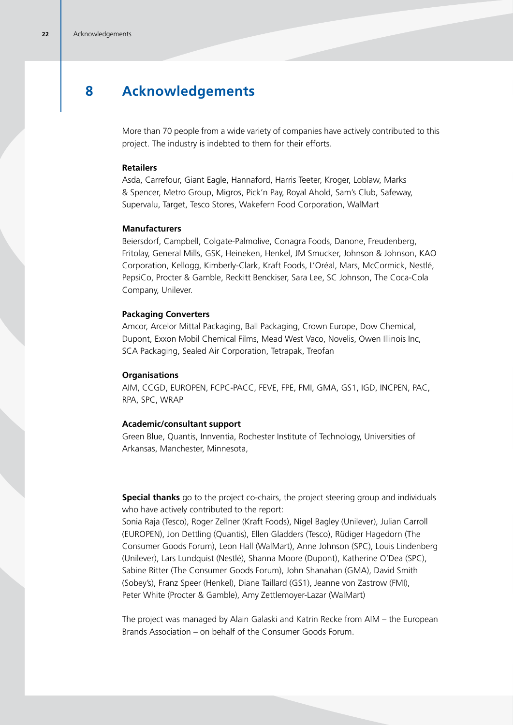# **8 Acknowledgements**

More than 70 people from a wide variety of companies have actively contributed to this project. The industry is indebted to them for their efforts.

#### **Retailers**

Asda, Carrefour, Giant Eagle, Hannaford, Harris Teeter, Kroger, Loblaw, Marks & Spencer, Metro Group, Migros, Pick'n Pay, Royal Ahold, Sam's Club, Safeway, Supervalu, Target, Tesco Stores, Wakefern Food Corporation, WalMart

#### **Manufacturers**

Beiersdorf, Campbell, Colgate-Palmolive, Conagra Foods, Danone, Freudenberg, Fritolay, General Mills, GSK, Heineken, Henkel, JM Smucker, Johnson & Johnson, KAO Corporation, Kellogg, Kimberly-Clark, Kraft Foods, L'Oréal, Mars, McCormick, Nestlé, PepsiCo, Procter & Gamble, Reckitt Benckiser, Sara Lee, SC Johnson, The Coca-Cola Company, Unilever.

#### **Packaging Converters**

Amcor, Arcelor Mittal Packaging, Ball Packaging, Crown Europe, Dow Chemical, Dupont, Exxon Mobil Chemical Films, Mead West Vaco, Novelis, Owen Illinois Inc, SCA Packaging, Sealed Air Corporation, Tetrapak, Treofan

#### **Organisations**

AIM, CCGD, EUROPEN, FCPC-PACC, FEVE, FPE, FMI, GMA, GS1, IGD, INCPEN, PAC, RPA, SPC, WRAP

#### **Academic/consultant support**

Green Blue, Quantis, Innventia, Rochester Institute of Technology, Universities of Arkansas, Manchester, Minnesota,

**Special thanks** go to the project co-chairs, the project steering group and individuals who have actively contributed to the report:

Sonia Raja (Tesco), Roger Zellner (Kraft Foods), Nigel Bagley (Unilever), Julian Carroll (EUROPEN), Jon Dettling (Quantis), Ellen Gladders (Tesco), Rüdiger Hagedorn (The Consumer Goods Forum), Leon Hall (WalMart), Anne Johnson (SPC), Louis Lindenberg (Unilever), Lars Lundquist (Nestlé), Shanna Moore (Dupont), Katherine O'Dea (SPC), Sabine Ritter (The Consumer Goods Forum), John Shanahan (GMA), David Smith (Sobey's), Franz Speer (Henkel), Diane Taillard (GS1), Jeanne von Zastrow (FMI), Peter White (Procter & Gamble), Amy Zettlemoyer-Lazar (WalMart)

The project was managed by Alain Galaski and Katrin Recke from AIM – the European Brands Association – on behalf of the Consumer Goods Forum.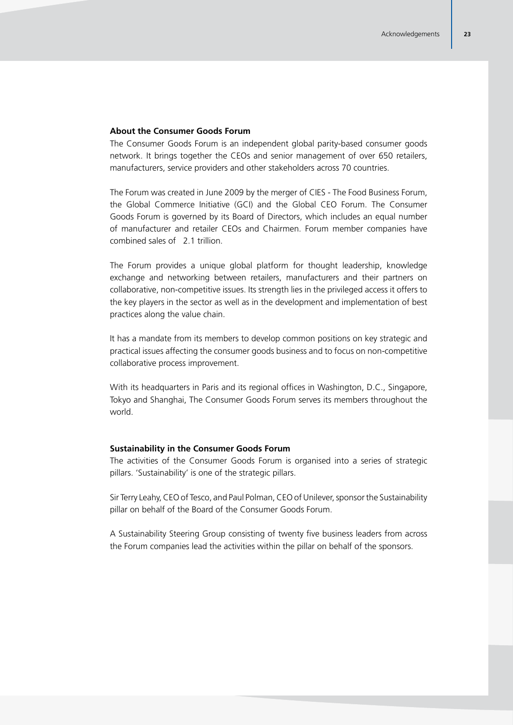#### **About the Consumer Goods Forum**

The Consumer Goods Forum is an independent global parity-based consumer goods network. It brings together the CEOs and senior management of over 650 retailers, manufacturers, service providers and other stakeholders across 70 countries.

The Forum was created in June 2009 by the merger of CIES - The Food Business Forum, the Global Commerce Initiative (GCI) and the Global CEO Forum. The Consumer Goods Forum is governed by its Board of Directors, which includes an equal number of manufacturer and retailer CEOs and Chairmen. Forum member companies have combined sales of  $\epsilon$ 2.1 trillion.

The Forum provides a unique global platform for thought leadership, knowledge exchange and networking between retailers, manufacturers and their partners on collaborative, non-competitive issues. Its strength lies in the privileged access it offers to the key players in the sector as well as in the development and implementation of best practices along the value chain.

It has a mandate from its members to develop common positions on key strategic and practical issues affecting the consumer goods business and to focus on non-competitive collaborative process improvement.

With its headquarters in Paris and its regional offices in Washington, D.C., Singapore, Tokyo and Shanghai, The Consumer Goods Forum serves its members throughout the world.

#### **Sustainability in the Consumer Goods Forum**

The activities of the Consumer Goods Forum is organised into a series of strategic pillars. 'Sustainability' is one of the strategic pillars.

Sir Terry Leahy, CEO of Tesco, and Paul Polman, CEO of Unilever, sponsor the Sustainability pillar on behalf of the Board of the Consumer Goods Forum.

A Sustainability Steering Group consisting of twenty five business leaders from across the Forum companies lead the activities within the pillar on behalf of the sponsors.